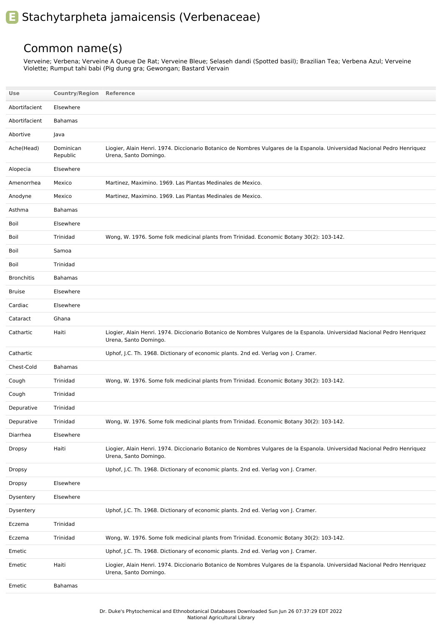## **E** Stachytarpheta jamaicensis (Verbenaceae)

## Common name(s)

Verveine; Verbena; Verveine A Queue De Rat; Verveine Bleue; Selaseh dandi (Spotted basil); Brazilian Tea; Verbena Azul; Verveine Violette; Rumput tahi babi (Pig dung gra; Gewongan; Bastard Vervain

| Use               | <b>Country/Region Reference</b> |                                                                                                                                                    |
|-------------------|---------------------------------|----------------------------------------------------------------------------------------------------------------------------------------------------|
| Abortifacient     | Elsewhere                       |                                                                                                                                                    |
| Abortifacient     | <b>Bahamas</b>                  |                                                                                                                                                    |
| Abortive          | Java                            |                                                                                                                                                    |
| Ache(Head)        | Dominican<br>Republic           | Liogier, Alain Henri. 1974. Diccionario Botanico de Nombres Vulgares de la Espanola. Universidad Nacional Pedro Henriquez<br>Urena, Santo Domingo. |
| Alopecia          | Elsewhere                       |                                                                                                                                                    |
| Amenorrhea        | Mexico                          | Martinez, Maximino. 1969. Las Plantas Medinales de Mexico.                                                                                         |
| Anodyne           | Mexico                          | Martinez, Maximino. 1969. Las Plantas Medinales de Mexico.                                                                                         |
| Asthma            | <b>Bahamas</b>                  |                                                                                                                                                    |
| Boil              | Elsewhere                       |                                                                                                                                                    |
| Boil              | Trinidad                        | Wong, W. 1976. Some folk medicinal plants from Trinidad. Economic Botany 30(2): 103-142.                                                           |
| Boil              | Samoa                           |                                                                                                                                                    |
| Boil              | Trinidad                        |                                                                                                                                                    |
| <b>Bronchitis</b> | <b>Bahamas</b>                  |                                                                                                                                                    |
| <b>Bruise</b>     | Elsewhere                       |                                                                                                                                                    |
| Cardiac           | Elsewhere                       |                                                                                                                                                    |
| Cataract          | Ghana                           |                                                                                                                                                    |
| Cathartic         | Haiti                           | Liogier, Alain Henri. 1974. Diccionario Botanico de Nombres Vulgares de la Espanola. Universidad Nacional Pedro Henriquez<br>Urena, Santo Domingo. |
| Cathartic         |                                 | Uphof, J.C. Th. 1968. Dictionary of economic plants. 2nd ed. Verlag von J. Cramer.                                                                 |
| Chest-Cold        | <b>Bahamas</b>                  |                                                                                                                                                    |
| Cough             | Trinidad                        | Wong, W. 1976. Some folk medicinal plants from Trinidad. Economic Botany 30(2): 103-142.                                                           |
| Cough             | Trinidad                        |                                                                                                                                                    |
| Depurative        | Trinidad                        |                                                                                                                                                    |
| Depurative        | Trinidad                        | Wong, W. 1976. Some folk medicinal plants from Trinidad. Economic Botany 30(2): 103-142.                                                           |
| Diarrhea          | Elsewhere                       |                                                                                                                                                    |
| Dropsy            | Haiti                           | Liogier, Alain Henri. 1974. Diccionario Botanico de Nombres Vulgares de la Espanola. Universidad Nacional Pedro Henriquez<br>Urena, Santo Domingo. |
| Dropsy            |                                 | Uphof, J.C. Th. 1968. Dictionary of economic plants. 2nd ed. Verlag von J. Cramer.                                                                 |
| Dropsy            | Elsewhere                       |                                                                                                                                                    |
| Dysentery         | Elsewhere                       |                                                                                                                                                    |
| Dysentery         |                                 | Uphof, J.C. Th. 1968. Dictionary of economic plants. 2nd ed. Verlag von J. Cramer.                                                                 |
| Eczema            | Trinidad                        |                                                                                                                                                    |
| Eczema            | Trinidad                        | Wong, W. 1976. Some folk medicinal plants from Trinidad. Economic Botany 30(2): 103-142.                                                           |
| Emetic            |                                 | Uphof, J.C. Th. 1968. Dictionary of economic plants. 2nd ed. Verlag von J. Cramer.                                                                 |
| Emetic            | Haiti                           | Liogier, Alain Henri. 1974. Diccionario Botanico de Nombres Vulgares de la Espanola. Universidad Nacional Pedro Henriquez<br>Urena, Santo Domingo. |
| Emetic            | Bahamas                         |                                                                                                                                                    |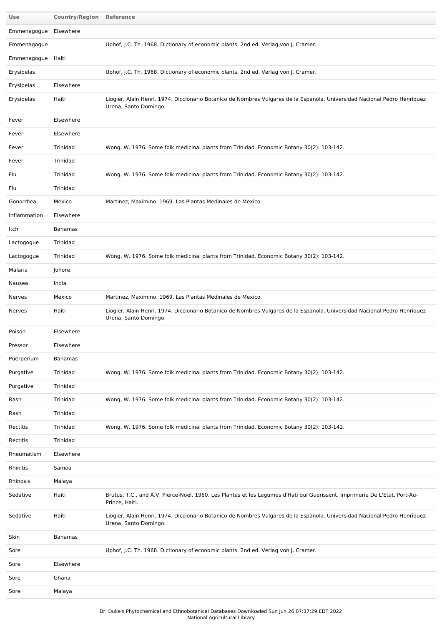| Use                   | <b>Country/Region Reference</b> |                                                                                                                                                    |
|-----------------------|---------------------------------|----------------------------------------------------------------------------------------------------------------------------------------------------|
| Emmenagogue Elsewhere |                                 |                                                                                                                                                    |
| Emmenagogue           |                                 | Uphof, J.C. Th. 1968. Dictionary of economic plants. 2nd ed. Verlag von J. Cramer.                                                                 |
| Emmenagogue Haiti     |                                 |                                                                                                                                                    |
| Erysipelas            |                                 | Uphof, J.C. Th. 1968. Dictionary of economic plants. 2nd ed. Verlag von J. Cramer.                                                                 |
| Erysipelas            | Elsewhere                       |                                                                                                                                                    |
| Erysipelas            | Haiti                           | Liogier, Alain Henri. 1974. Diccionario Botanico de Nombres Vulgares de la Espanola. Universidad Nacional Pedro Henriquez<br>Urena, Santo Domingo. |
| Fever                 | Elsewhere                       |                                                                                                                                                    |
| Fever                 | Elsewhere                       |                                                                                                                                                    |
| Fever                 | Trinidad                        | Wong, W. 1976. Some folk medicinal plants from Trinidad. Economic Botany 30(2): 103-142.                                                           |
| Fever                 | Trinidad                        |                                                                                                                                                    |
| Flu                   | Trinidad                        | Wong, W. 1976. Some folk medicinal plants from Trinidad. Economic Botany 30(2): 103-142.                                                           |
| Flu                   | Trinidad                        |                                                                                                                                                    |
| Gonorrhea             | Mexico                          | Martinez, Maximino. 1969. Las Plantas Medinales de Mexico.                                                                                         |
| Inflammation          | Elsewhere                       |                                                                                                                                                    |
| Itch                  | <b>Bahamas</b>                  |                                                                                                                                                    |
| Lactogogue            | Trinidad                        |                                                                                                                                                    |
| Lactogogue            | Trinidad                        | Wong, W. 1976. Some folk medicinal plants from Trinidad. Economic Botany 30(2): 103-142.                                                           |
| Malaria               | Johore                          |                                                                                                                                                    |
| Nausea                | India                           |                                                                                                                                                    |
| Nerves                | Mexico                          | Martinez, Maximino. 1969. Las Plantas Medinales de Mexico.                                                                                         |
| Nerves                | Haiti                           | Liogier, Alain Henri. 1974. Diccionario Botanico de Nombres Vulgares de la Espanola. Universidad Nacional Pedro Henriquez<br>Urena, Santo Domingo. |
| Poison                | Elsewhere                       |                                                                                                                                                    |
| Pressor               | Elsewhere                       |                                                                                                                                                    |
| Puerperium            | <b>Bahamas</b>                  |                                                                                                                                                    |
| Purgative             | Trinidad                        | Wong, W. 1976. Some folk medicinal plants from Trinidad. Economic Botany 30(2): 103-142.                                                           |
| Purgative             | Trinidad                        |                                                                                                                                                    |
| Rash                  | Trinidad                        | Wong, W. 1976. Some folk medicinal plants from Trinidad. Economic Botany 30(2): 103-142.                                                           |
| Rash                  | Trinidad                        |                                                                                                                                                    |
| Rectitis              | Trinidad                        | Wong, W. 1976. Some folk medicinal plants from Trinidad. Economic Botany 30(2): 103-142.                                                           |
| Rectitis              | Trinidad                        |                                                                                                                                                    |
| Rheumatism            | Elsewhere                       |                                                                                                                                                    |
| Rhinitis              | Samoa                           |                                                                                                                                                    |
| Rhinosis              | Malaya                          |                                                                                                                                                    |
| Sedative              | Haiti                           | Brutus, T.C., and A.V. Pierce-Noel. 1960. Les Plantes et les Legumes d'Hati qui Guerissent. Imprimerie De L'Etat, Port-Au-<br>Prince, Haiti.       |
| Sedative              | Haiti                           | Liogier, Alain Henri. 1974. Diccionario Botanico de Nombres Vulgares de la Espanola. Universidad Nacional Pedro Henriquez<br>Urena, Santo Domingo. |
| Skin                  | Bahamas                         |                                                                                                                                                    |
| Sore                  |                                 | Uphof, J.C. Th. 1968. Dictionary of economic plants. 2nd ed. Verlag von J. Cramer.                                                                 |
| Sore                  | Elsewhere                       |                                                                                                                                                    |
| Sore                  | Ghana                           |                                                                                                                                                    |
| Sore                  | Malaya                          |                                                                                                                                                    |